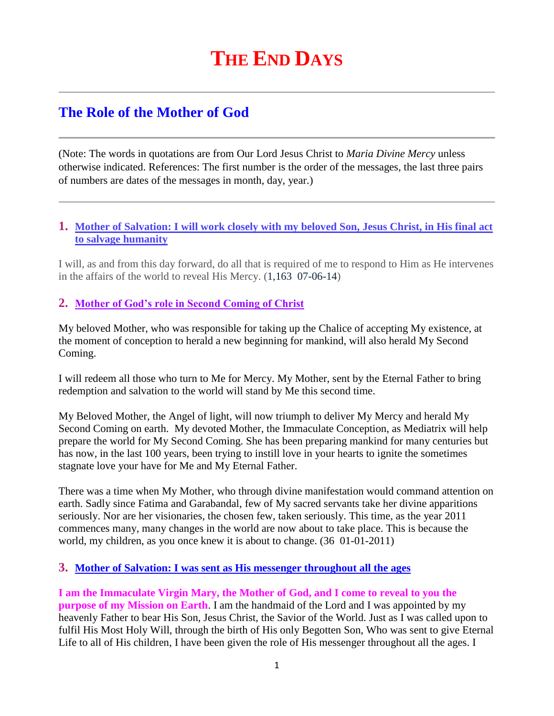# **THE END DAYS**

# **The Role of the Mother of God**

(Note: The words in quotations are from Our Lord Jesus Christ to *Maria Divine Mercy* unless otherwise indicated. References: The first number is the order of the messages, the last three pairs of numbers are dates of the messages in month, day, year.)

#### **1. [Mother of Salvation: I will work closely with my beloved Son, Jesus Christ, in His final act](http://www.thewarningsecondcoming.com/mother-of-salvation-i-will-work-closely-with-my-beloved-son-jesus-christ-in-his-final-act-to-salvage-humanity/)  [to salvage humanity](http://www.thewarningsecondcoming.com/mother-of-salvation-i-will-work-closely-with-my-beloved-son-jesus-christ-in-his-final-act-to-salvage-humanity/)**

I will, as and from this day forward, do all that is required of me to respond to Him as He intervenes in the affairs of the world to reveal His Mercy. (1,163 07-06-14)

#### **2. Mother of God's role in Second Coming of Christ**

My beloved Mother, who was responsible for taking up the Chalice of accepting My existence, at the moment of conception to herald a new beginning for mankind, will also herald My Second Coming.

I will redeem all those who turn to Me for Mercy. My Mother, sent by the Eternal Father to bring redemption and salvation to the world will stand by Me this second time.

My Beloved Mother, the Angel of light, will now triumph to deliver My Mercy and herald My Second Coming on earth. My devoted Mother, the Immaculate Conception, as Mediatrix will help prepare the world for My Second Coming. She has been preparing mankind for many centuries but has now, in the last 100 years, been trying to instill love in your hearts to ignite the sometimes stagnate love your have for Me and My Eternal Father.

There was a time when My Mother, who through divine manifestation would command attention on earth. Sadly since Fatima and Garabandal, few of My sacred servants take her divine apparitions seriously. Nor are her visionaries, the chosen few, taken seriously. This time, as the year 2011 commences many, many changes in the world are now about to take place. This is because the world, my children, as you once knew it is about to change. (36 01-01-2011)

#### **3. [Mother of Salvation: I was sent as His messenger throughout all the ages](http://www.thewarningsecondcoming.com/mother-of-salvation-i-was-sent-as-his-messenger-throughout-all-the-ages/)**

**I am the Immaculate Virgin Mary, the Mother of God, and I come to reveal to you the purpose of my Mission on Earth**. I am the handmaid of the Lord and I was appointed by my heavenly Father to bear His Son, Jesus Christ, the Savior of the World. Just as I was called upon to fulfil His Most Holy Will, through the birth of His only Begotten Son, Who was sent to give Eternal Life to all of His children, I have been given the role of His messenger throughout all the ages. I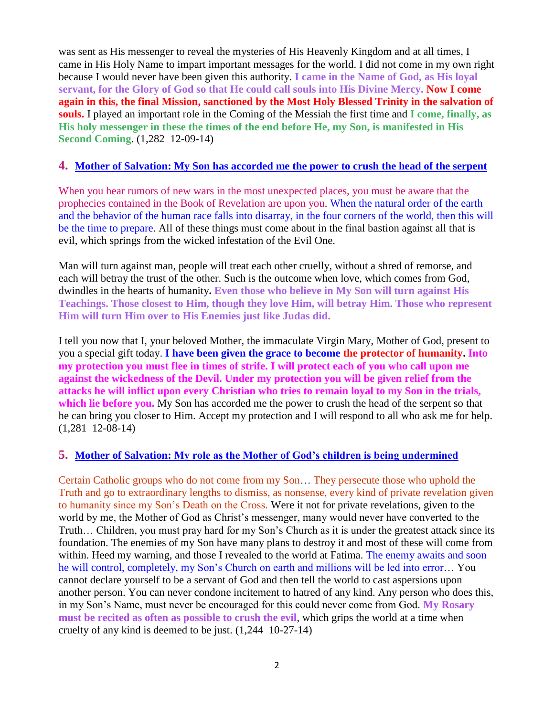was sent as His messenger to reveal the mysteries of His Heavenly Kingdom and at all times, I came in His Holy Name to impart important messages for the world. I did not come in my own right because I would never have been given this authority. **I came in the Name of God, as His loyal servant, for the Glory of God so that He could call souls into His Divine Mercy. Now I come again in this, the final Mission, sanctioned by the Most Holy Blessed Trinity in the salvation of souls.** I played an important role in the Coming of the Messiah the first time and **I come, finally, as His holy messenger in these the times of the end before He, my Son, is manifested in His Second Coming**. (1,282 12-09-14)

#### **4. [Mother of Salvation: My Son has accorded me the power to crush the head of the serpent](http://www.thewarningsecondcoming.com/mother-of-salvation-my-son-has-accorded-me-the-power-to-crush-the-head-of-the-serpent/)**

When you hear rumors of new wars in the most unexpected places, you must be aware that the prophecies contained in the Book of Revelation are upon you. When the natural order of the earth and the behavior of the human race falls into disarray, in the four corners of the world, then this will be the time to prepare. All of these things must come about in the final bastion against all that is evil, which springs from the wicked infestation of the Evil One.

Man will turn against man, people will treat each other cruelly, without a shred of remorse, and each will betray the trust of the other. Such is the outcome when love, which comes from God, dwindles in the hearts of humanity**. Even those who believe in My Son will turn against His Teachings. Those closest to Him, though they love Him, will betray Him. Those who represent Him will turn Him over to His Enemies just like Judas did.**

I tell you now that I, your beloved Mother, the immaculate Virgin Mary, Mother of God, present to you a special gift today. **I have been given the grace to become the protector of humanity. Into my protection you must flee in times of strife. I will protect each of you who call upon me against the wickedness of the Devil. Under my protection you will be given relief from the attacks he will inflict upon every Christian who tries to remain loyal to my Son in the trials, which lie before you.** My Son has accorded me the power to crush the head of the serpent so that he can bring you closer to Him. Accept my protection and I will respond to all who ask me for help. (1,281 12-08-14)

#### **5. Mother of Salvation: [My role as the Mother of God's children is being undermined](http://www.thewarningsecondcoming.com/mother-of-salvation-my-role-as-the-mother-of-gods-children-is-being-undermined/)**

Certain Catholic groups who do not come from my Son… They persecute those who uphold the Truth and go to extraordinary lengths to dismiss, as nonsense, every kind of private revelation given to humanity since my Son's Death on the Cross. Were it not for private revelations, given to the world by me, the Mother of God as Christ's messenger, many would never have converted to the Truth… Children, you must pray hard for my Son's Church as it is under the greatest attack since its foundation. The enemies of my Son have many plans to destroy it and most of these will come from within. Heed my warning, and those I revealed to the world at Fatima. The enemy awaits and soon he will control, completely, my Son's Church on earth and millions will be led into error… You cannot declare yourself to be a servant of God and then tell the world to cast aspersions upon another person. You can never condone incitement to hatred of any kind. Any person who does this, in my Son's Name, must never be encouraged for this could never come from God. **My Rosary must be recited as often as possible to crush the evil**, which grips the world at a time when cruelty of any kind is deemed to be just. (1,244 10-27-14)